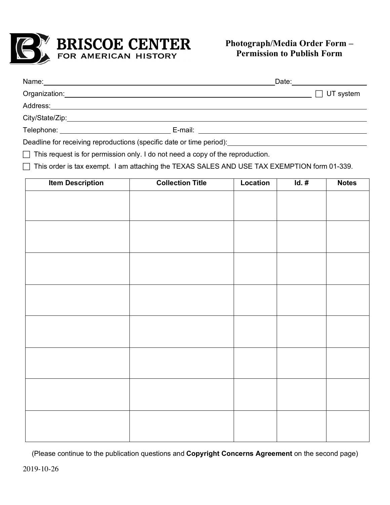

## **Photograph/Media Order Form – Permission to Publish Form**

| Name: 2008. 2009. 2010. 2010. 2010. 2010. 2010. 2010. 2010. 2010. 2010. 2010. 2010. 2010. 2010. 2010. 2010. 20  |  | Date: <u>_______________</u> |
|-----------------------------------------------------------------------------------------------------------------|--|------------------------------|
|                                                                                                                 |  | $\Box$ UT system             |
|                                                                                                                 |  |                              |
|                                                                                                                 |  |                              |
| Telephone: New York Street, New York Street, New York Street, New York Street, New York Street, New York Street |  |                              |
| Deadline for receiving reproductions (specific date or time period):                                            |  |                              |

 $\Box$  This request is for permission only. I do not need a copy of the reproduction.

 $\Box$  This order is tax exempt. I am attaching the TEXAS SALES AND USE TAX EXEMPTION form 01-339.

| <b>Item Description</b> | <b>Collection Title</b> | Location | $Id.$ # | <b>Notes</b> |
|-------------------------|-------------------------|----------|---------|--------------|
|                         |                         |          |         |              |
|                         |                         |          |         |              |
|                         |                         |          |         |              |
|                         |                         |          |         |              |
|                         |                         |          |         |              |
|                         |                         |          |         |              |
|                         |                         |          |         |              |
|                         |                         |          |         |              |
|                         |                         |          |         |              |
|                         |                         |          |         |              |
|                         |                         |          |         |              |
|                         |                         |          |         |              |
|                         |                         |          |         |              |
|                         |                         |          |         |              |
|                         |                         |          |         |              |
|                         |                         |          |         |              |
|                         |                         |          |         |              |
|                         |                         |          |         |              |
|                         |                         |          |         |              |

(Please continue to the publication questions and **Copyright Concerns Agreement** on the second page)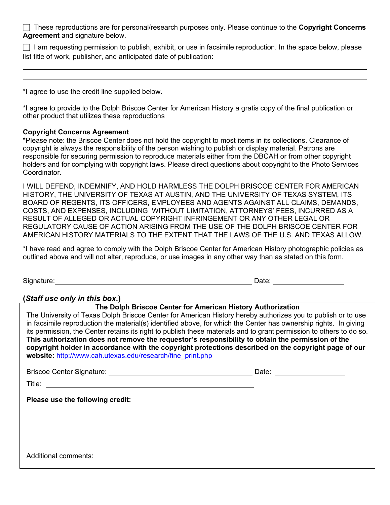These reproductions are for personal/research purposes only. Please continue to the **Copyright Concerns Agreement** and signature below.

 $\Box$  I am requesting permission to publish, exhibit, or use in facsimile reproduction. In the space below, please list title of work, publisher, and anticipated date of publication:

\*I agree to use the credit line supplied below.

\*I agree to provide to the Dolph Briscoe Center for American History a gratis copy of the final publication or other product that utilizes these reproductions

## **Copyright Concerns Agreement**

\*Please note: the Briscoe Center does not hold the copyright to most items in its collections. Clearance of copyright is always the responsibility of the person wishing to publish or display material. Patrons are responsible for securing permission to reproduce materials either from the DBCAH or from other copyright holders and for complying with copyright laws. Please direct questions about copyright to the Photo Services Coordinator.

I WILL DEFEND, INDEMNIFY, AND HOLD HARMLESS THE DOLPH BRISCOE CENTER FOR AMERICAN HISTORY, THE UNIVERSITY OF TEXAS AT AUSTIN, AND THE UNIVERSITY OF TEXAS SYSTEM, ITS BOARD OF REGENTS, ITS OFFICERS, EMPLOYEES AND AGENTS AGAINST ALL CLAIMS, DEMANDS, COSTS, AND EXPENSES, INCLUDING WITHOUT LIMITATION, ATTORNEYS' FEES, INCURRED AS A RESULT OF ALLEGED OR ACTUAL COPYRIGHT INFRINGEMENT OR ANY OTHER LEGAL OR REGULATORY CAUSE OF ACTION ARISING FROM THE USE OF THE DOLPH BRISCOE CENTER FOR AMERICAN HISTORY MATERIALS TO THE EXTENT THAT THE LAWS OF THE U.S. AND TEXAS ALLOW.

\*I have read and agree to comply with the Dolph Briscoe Center for American History photographic policies as outlined above and will not alter, reproduce, or use images in any other way than as stated on this form.

Signature: **Date: Contract Contract Contract Contract Contract Contract Contract Contract Contract Contract Contract Contract Contract Contract Contract Contract Contract Contract Contract Contract Contract Contract Cont** 

## **(***Staff use only in this box.***)**

**The Dolph Briscoe Center for American History Authorization**

The University of Texas Dolph Briscoe Center for American History hereby authorizes you to publish or to use in facsimile reproduction the material(s) identified above, for which the Center has ownership rights. In giving its permission, the Center retains its right to publish these materials and to grant permission to others to do so. **This authorization does not remove the requestor's responsibility to obtain the permission of the copyright holder in accordance with the copyright protections described on the copyright page of our website:** http://www.cah.utexas.edu/research/fine\_print.php

Briscoe Center Signature: Date:

Title: **The Structure of the Structure of the Structure of the Structure of the Structure of the Structure of the Structure of the Structure of the Structure of the Structure of the Structure of the Structure of the Struct** 

**Please use the following credit:**

Additional comments: